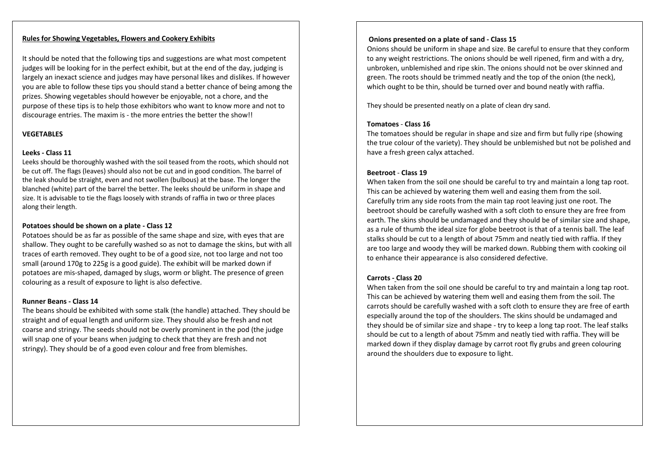## **Rules for Showing Vegetables, Flowers and Cookery Exhibits**

It should be noted that the following tips and suggestions are what most competent judges will be looking for in the perfect exhibit, but at the end of the day, judging is largely an inexact science and judges may have personal likes and dislikes. If however you are able to follow these tips you should stand a better chance of being among the prizes. Showing vegetables should however be enjoyable, not a chore, and the purpose of these tips is to help those exhibitors who want to know more and not to discourage entries. The maxim is - the more entries the better the show!!

## **VEGETABLES**

## **Leeks - Class 11**

Leeks should be thoroughly washed with the soil teased from the roots, which should not be cut off. The flags (leaves) should also not be cut and in good condition. The barrel of the leak should be straight, even and not swollen (bulbous) at the base. The longer the blanched (white) part of the barrel the better. The leeks should be uniform in shape and size. It is advisable to tie the flags loosely with strands of raffia in two or three places along their length.

#### **Potatoes should be shown on a plate - Class 12**

Potatoes should be as far as possible of the same shape and size, with eyes that are shallow. They ought to be carefully washed so as not to damage the skins, but with all traces of earth removed. They ought to be of a good size, not too large and not too small (around 170g to 225g is a good guide). The exhibit will be marked down if potatoes are mis-shaped, damaged by slugs, worm or blight. The presence of green colouring as a result of exposure to light is also defective.

#### **Runner Beans - Class 14**

The beans should be exhibited with some stalk (the handle) attached. They should be straight and of equal length and uniform size. They should also be fresh and not coarse and stringy. The seeds should not be overly prominent in the pod (the judge will snap one of your beans when judging to check that they are fresh and not stringy). They should be of a good even colour and free from blemishes.

#### **Onions presented on a plate of sand - Class 15**

Onions should be uniform in shape and size. Be careful to ensure that they conform to any weight restrictions. The onions should be well ripened, firm and with a dry, unbroken, unblemished and ripe skin. The onions should not be over skinned and green. The roots should be trimmed neatly and the top of the onion (the neck), which ought to be thin, should be turned over and bound neatly with raffia.

They should be presented neatly on a plate of clean dry sand.

# **Tomatoes** - **Class 16**

The tomatoes should be regular in shape and size and firm but fully ripe (showing the true colour of the variety). They should be unblemished but not be polished and have a fresh green calyx attached.

# **Beetroot** - **Class 19**

When taken from the soil one should be careful to try and maintain a long tap root. This can be achieved by watering them well and easing them from the soil. Carefully trim any side roots from the main tap root leaving just one root. The beetroot should be carefully washed with a soft cloth to ensure they are free from earth. The skins should be undamaged and they should be of similar size and shape, as a rule of thumb the ideal size for globe beetroot is that of a tennis ball. The leaf stalks should be cut to a length of about 75mm and neatly tied with raffia. If they are too large and woody they will be marked down. Rubbing them with cooking oil to enhance their appearance is also considered defective.

# **Carrots - Class 20**

When taken from the soil one should be careful to try and maintain a long tap root. This can be achieved by watering them well and easing them from the soil. The carrots should be carefully washed with a soft cloth to ensure they are free of earth especially around the top of the shoulders. The skins should be undamaged and they should be of similar size and shape - try to keep a long tap root. The leaf stalks should be cut to a length of about 75mm and neatly tied with raffia. They will be marked down if they display damage by carrot root fly grubs and green colouring around the shoulders due to exposure to light.